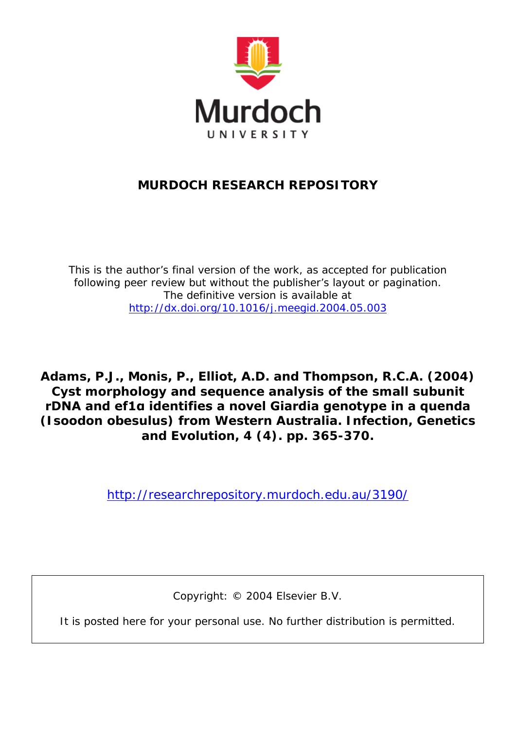

## **MURDOCH RESEARCH REPOSITORY**

*This is the author's final version of the work, as accepted for publication following peer review but without the publisher's layout or pagination. The definitive version is available at <http://dx.doi.org/10.1016/j.meegid.2004.05.003>*

**Adams, P.J., Monis, P., Elliot, A.D. and Thompson, R.C.A. (2004) Cyst morphology and sequence analysis of the small subunit rDNA and ef1α identifies a novel Giardia genotype in a quenda (Isoodon obesulus) from Western Australia. Infection, Genetics and Evolution, 4 (4). pp. 365-370.**

<http://researchrepository.murdoch.edu.au/3190/>

Copyright: © 2004 Elsevier B.V.

It is posted here for your personal use. No further distribution is permitted.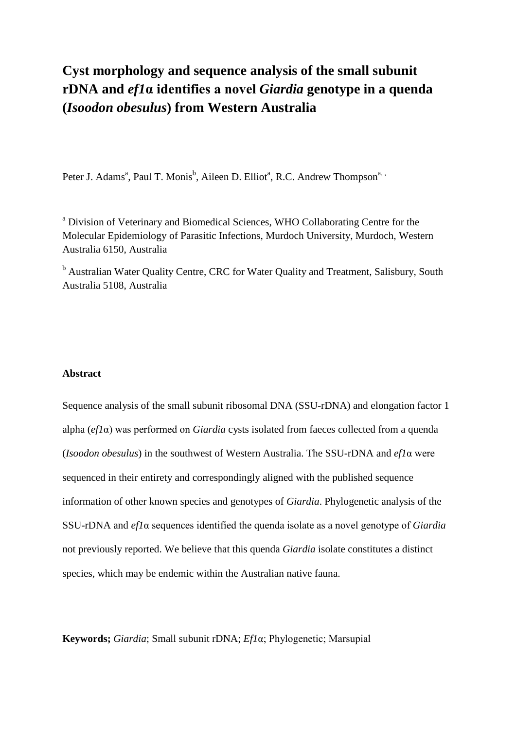# **Cyst morphology and sequence analysis of the small subunit rDNA and** *ef1***α identifies a novel** *Giardia* **genotype in a quenda (***Isoodon obesulus***) from Western Australia**

Peter J. Adams<sup>a</sup>, Paul T. Monis<sup>b</sup>, Aileen D. Elliot<sup>a</sup>, R.C. Andrew Thompson<sup>a, ,</sup>

<sup>a</sup> Division of Veterinary and Biomedical Sciences, WHO Collaborating Centre for the Molecular Epidemiology of Parasitic Infections, Murdoch University, Murdoch, Western Australia 6150, Australia

<sup>b</sup> Australian Water Quality Centre, CRC for Water Quality and Treatment, Salisbury, South Australia 5108, Australia

## **Abstract**

Sequence analysis of the small subunit ribosomal DNA (SSU-rDNA) and elongation factor 1 alpha (*ef1*α) was performed on *Giardia* cysts isolated from faeces collected from a quenda (*Isoodon obesulus*) in the southwest of Western Australia. The SSU-rDNA and *ef1*α were sequenced in their entirety and correspondingly aligned with the published sequence information of other known species and genotypes of *Giardia*. Phylogenetic analysis of the SSU-rDNA and *ef1*α sequences identified the quenda isolate as a novel genotype of *Giardia* not previously reported. We believe that this quenda *Giardia* isolate constitutes a distinct species, which may be endemic within the Australian native fauna.

**Keywords;** *Giardia*; Small subunit rDNA; *Ef1*α; Phylogenetic; Marsupial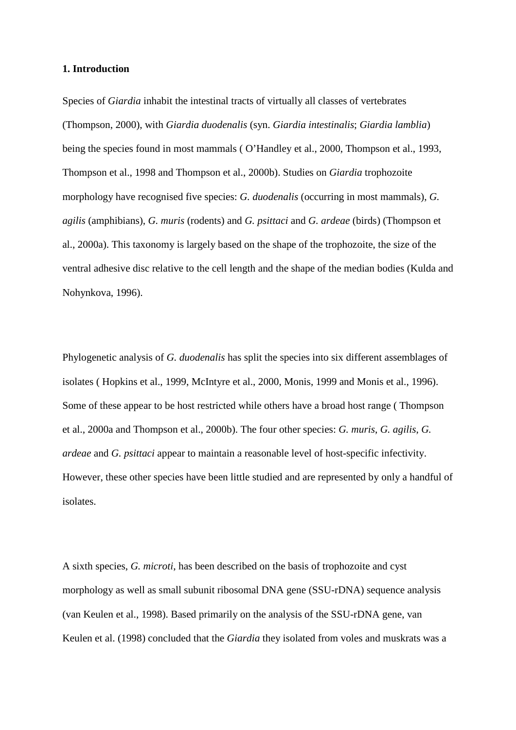## **1. Introduction**

Species of *Giardia* inhabit the intestinal tracts of virtually all classes of vertebrates (Thompson, 2000), with *Giardia duodenalis* (syn. *Giardia intestinalis*; *Giardia lamblia*) being the species found in most mammals ( O'Handley et al., 2000, Thompson et al., 1993, Thompson et al., 1998 and Thompson et al., 2000b). Studies on *Giardia* trophozoite morphology have recognised five species: *G. duodenalis* (occurring in most mammals), *G. agilis* (amphibians), *G. muris* (rodents) and *G. psittaci* and *G. ardeae* (birds) (Thompson et al., 2000a). This taxonomy is largely based on the shape of the trophozoite, the size of the ventral adhesive disc relative to the cell length and the shape of the median bodies (Kulda and Nohynkova, 1996).

Phylogenetic analysis of *G. duodenalis* has split the species into six different assemblages of isolates ( Hopkins et al., 1999, McIntyre et al., 2000, Monis, 1999 and Monis et al., 1996). Some of these appear to be host restricted while others have a broad host range ( Thompson et al., 2000a and Thompson et al., 2000b). The four other species: *G. muris*, *G. agilis*, *G. ardeae* and *G. psittaci* appear to maintain a reasonable level of host-specific infectivity. However, these other species have been little studied and are represented by only a handful of isolates.

A sixth species, *G. microti*, has been described on the basis of trophozoite and cyst morphology as well as small subunit ribosomal DNA gene (SSU-rDNA) sequence analysis (van Keulen et al., 1998). Based primarily on the analysis of the SSU-rDNA gene, van Keulen et al. (1998) concluded that the *Giardia* they isolated from voles and muskrats was a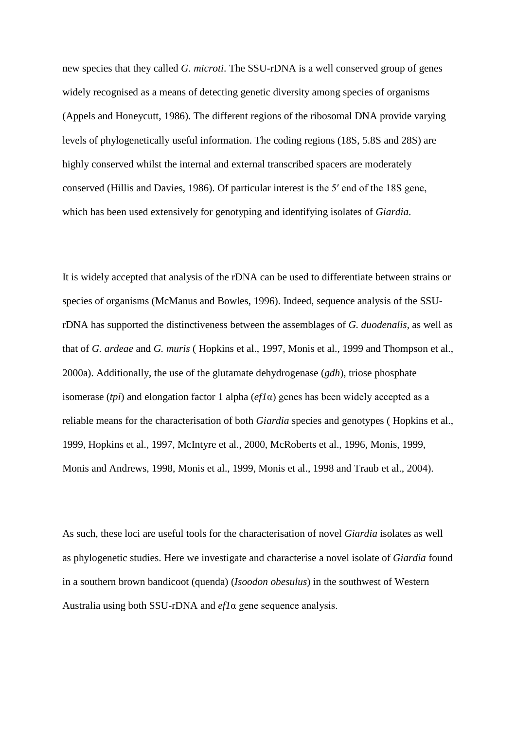new species that they called *G. microti*. The SSU-rDNA is a well conserved group of genes widely recognised as a means of detecting genetic diversity among species of organisms (Appels and Honeycutt, 1986). The different regions of the ribosomal DNA provide varying levels of phylogenetically useful information. The coding regions (18S, 5.8S and 28S) are highly conserved whilst the internal and external transcribed spacers are moderately conserved (Hillis and Davies, 1986). Of particular interest is the 5′ end of the 18S gene, which has been used extensively for genotyping and identifying isolates of *Giardia*.

It is widely accepted that analysis of the rDNA can be used to differentiate between strains or species of organisms (McManus and Bowles, 1996). Indeed, sequence analysis of the SSUrDNA has supported the distinctiveness between the assemblages of *G. duodenalis*, as well as that of *G. ardeae* and *G. muris* ( Hopkins et al., 1997, Monis et al., 1999 and Thompson et al., 2000a). Additionally, the use of the glutamate dehydrogenase (*gdh*), triose phosphate isomerase (*tpi*) and elongation factor 1 alpha (*ef1*α) genes has been widely accepted as a reliable means for the characterisation of both *Giardia* species and genotypes ( Hopkins et al., 1999, Hopkins et al., 1997, McIntyre et al., 2000, McRoberts et al., 1996, Monis, 1999, Monis and Andrews, 1998, Monis et al., 1999, Monis et al., 1998 and Traub et al., 2004).

As such, these loci are useful tools for the characterisation of novel *Giardia* isolates as well as phylogenetic studies. Here we investigate and characterise a novel isolate of *Giardia* found in a southern brown bandicoot (quenda) (*Isoodon obesulus*) in the southwest of Western Australia using both SSU-rDNA and *ef1*α gene sequence analysis.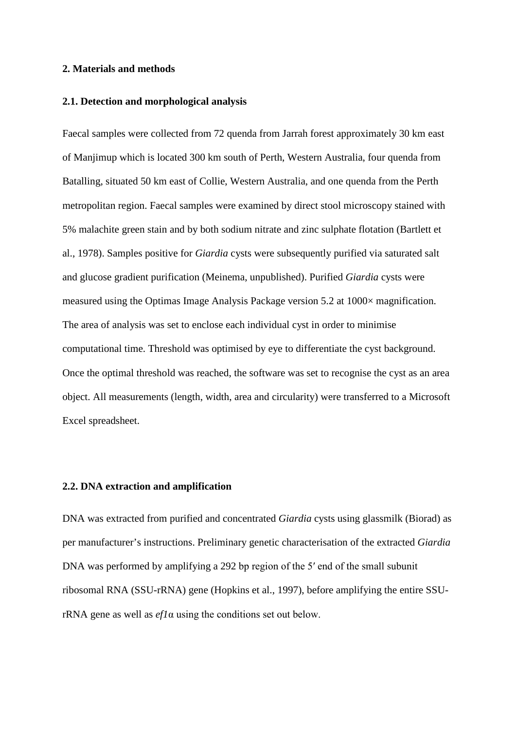## **2. Materials and methods**

## **2.1. Detection and morphological analysis**

Faecal samples were collected from 72 quenda from Jarrah forest approximately 30 km east of Manjimup which is located 300 km south of Perth, Western Australia, four quenda from Batalling, situated 50 km east of Collie, Western Australia, and one quenda from the Perth metropolitan region. Faecal samples were examined by direct stool microscopy stained with 5% malachite green stain and by both sodium nitrate and zinc sulphate flotation (Bartlett et al., 1978). Samples positive for *Giardia* cysts were subsequently purified via saturated salt and glucose gradient purification (Meinema, unpublished). Purified *Giardia* cysts were measured using the Optimas Image Analysis Package version 5.2 at 1000× magnification. The area of analysis was set to enclose each individual cyst in order to minimise computational time. Threshold was optimised by eye to differentiate the cyst background. Once the optimal threshold was reached, the software was set to recognise the cyst as an area object. All measurements (length, width, area and circularity) were transferred to a Microsoft Excel spreadsheet.

## **2.2. DNA extraction and amplification**

DNA was extracted from purified and concentrated *Giardia* cysts using glassmilk (Biorad) as per manufacturer's instructions. Preliminary genetic characterisation of the extracted *Giardia* DNA was performed by amplifying a 292 bp region of the 5' end of the small subunit ribosomal RNA (SSU-rRNA) gene (Hopkins et al., 1997), before amplifying the entire SSUrRNA gene as well as *ef1*α using the conditions set out below.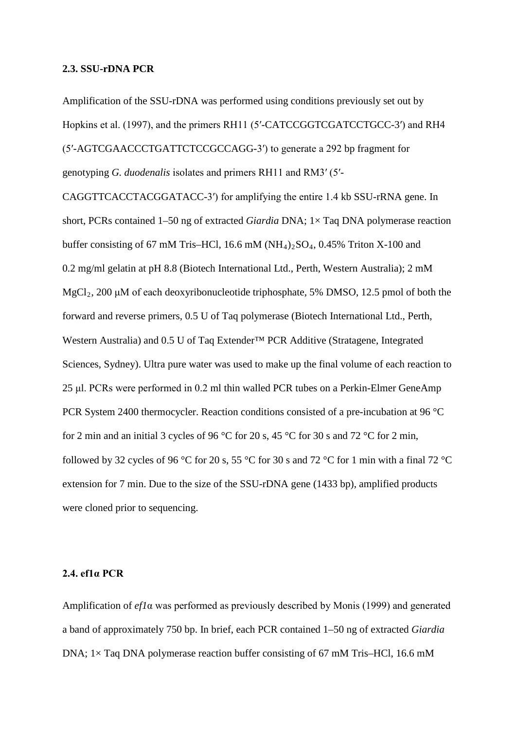#### **2.3. SSU-rDNA PCR**

Amplification of the SSU-rDNA was performed using conditions previously set out by Hopkins et al. (1997), and the primers RH11 (5′-CATCCGGTCGATCCTGCC-3′) and RH4 (5′-AGTCGAACCCTGATTCTCCGCCAGG-3′) to generate a 292 bp fragment for genotyping *G. duodenalis* isolates and primers RH11 and RM3′ (5′-

CAGGTTCACCTACGGATACC-3′) for amplifying the entire 1.4 kb SSU-rRNA gene. In short, PCRs contained 1–50 ng of extracted *Giardia* DNA; 1× Taq DNA polymerase reaction buffer consisting of 67 mM Tris–HCl, 16.6 mM  $(NH<sub>4</sub>)<sub>2</sub>SO<sub>4</sub>$ , 0.45% Triton X-100 and 0.2 mg/ml gelatin at pH 8.8 (Biotech International Ltd., Perth, Western Australia); 2 mM  $MgCl<sub>2</sub>$ , 200 μM of each deoxyribonucleotide triphosphate, 5% DMSO, 12.5 pmol of both the forward and reverse primers, 0.5 U of Taq polymerase (Biotech International Ltd., Perth, Western Australia) and 0.5 U of Taq Extender™ PCR Additive (Stratagene, Integrated Sciences, Sydney). Ultra pure water was used to make up the final volume of each reaction to 25 μl. PCRs were performed in 0.2 ml thin walled PCR tubes on a Perkin-Elmer GeneAmp PCR System 2400 thermocycler. Reaction conditions consisted of a pre-incubation at 96 °C for 2 min and an initial 3 cycles of 96 °C for 20 s, 45 °C for 30 s and 72 °C for 2 min, followed by 32 cycles of 96 °C for 20 s, 55 °C for 30 s and 72 °C for 1 min with a final 72 °C extension for 7 min. Due to the size of the SSU-rDNA gene (1433 bp), amplified products were cloned prior to sequencing.

## **2.4. ef1α PCR**

Amplification of *ef1*α was performed as previously described by Monis (1999) and generated a band of approximately 750 bp. In brief, each PCR contained 1–50 ng of extracted *Giardia* DNA; 1× Taq DNA polymerase reaction buffer consisting of 67 mM Tris–HCl, 16.6 mM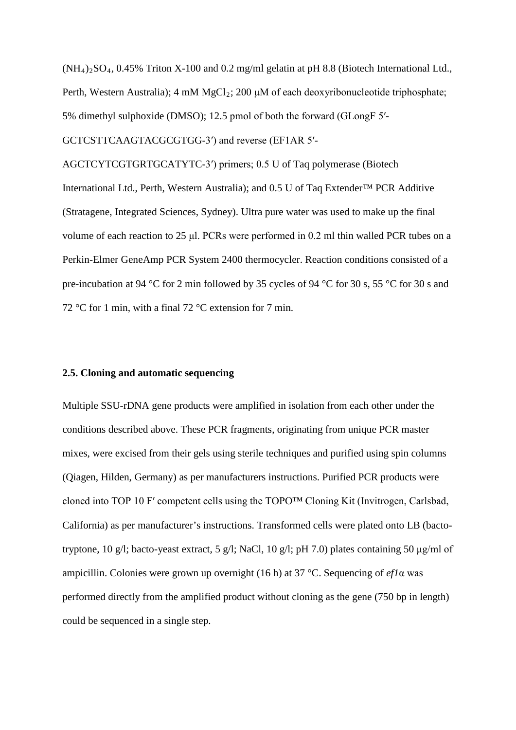$(NH_4)_2SO_4$ , 0.45% Triton X-100 and 0.2 mg/ml gelatin at pH 8.8 (Biotech International Ltd., Perth, Western Australia);  $4 \text{ mM } MgCl_2$ ; 200 μM of each deoxyribonucleotide triphosphate; 5% dimethyl sulphoxide (DMSO); 12.5 pmol of both the forward (GLongF 5′-

GCTCSTTCAAGTACGCGTGG-3′) and reverse (EF1AR 5′-

AGCTCYTCGTGRTGCATYTC-3′) primers; 0.5 U of Taq polymerase (Biotech International Ltd., Perth, Western Australia); and 0.5 U of Taq Extender™ PCR Additive (Stratagene, Integrated Sciences, Sydney). Ultra pure water was used to make up the final volume of each reaction to 25 μl. PCRs were performed in 0.2 ml thin walled PCR tubes on a Perkin-Elmer GeneAmp PCR System 2400 thermocycler. Reaction conditions consisted of a pre-incubation at 94 °C for 2 min followed by 35 cycles of 94 °C for 30 s, 55 °C for 30 s and 72 °C for 1 min, with a final 72 °C extension for 7 min.

## **2.5. Cloning and automatic sequencing**

Multiple SSU-rDNA gene products were amplified in isolation from each other under the conditions described above. These PCR fragments, originating from unique PCR master mixes, were excised from their gels using sterile techniques and purified using spin columns (Qiagen, Hilden, Germany) as per manufacturers instructions. Purified PCR products were cloned into TOP 10 F′ competent cells using the TOPO™ Cloning Kit (Invitrogen, Carlsbad, California) as per manufacturer's instructions. Transformed cells were plated onto LB (bactotryptone, 10 g/l; bacto-yeast extract, 5 g/l; NaCl, 10 g/l; pH 7.0) plates containing 50 μg/ml of ampicillin. Colonies were grown up overnight (16 h) at 37 °C. Sequencing of *ef1*α was performed directly from the amplified product without cloning as the gene (750 bp in length) could be sequenced in a single step.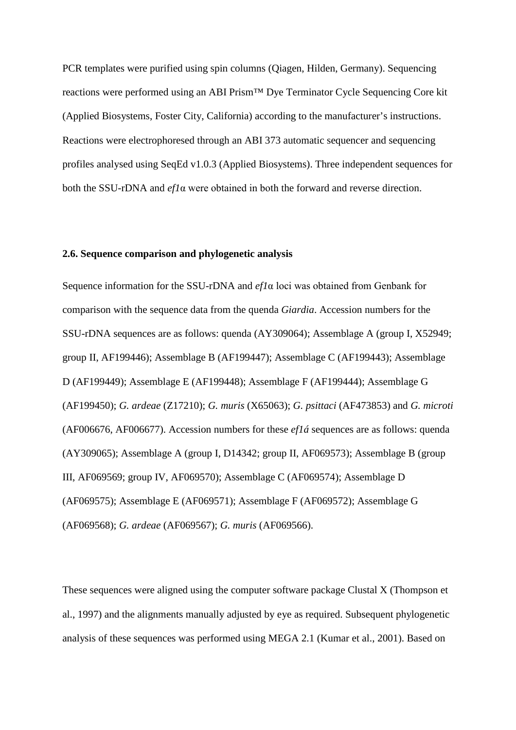PCR templates were purified using spin columns (Qiagen, Hilden, Germany). Sequencing reactions were performed using an ABI Prism™ Dye Terminator Cycle Sequencing Core kit (Applied Biosystems, Foster City, California) according to the manufacturer's instructions. Reactions were electrophoresed through an ABI 373 automatic sequencer and sequencing profiles analysed using SeqEd v1.0.3 (Applied Biosystems). Three independent sequences for both the SSU-rDNA and *ef1*α were obtained in both the forward and reverse direction.

## **2.6. Sequence comparison and phylogenetic analysis**

Sequence information for the SSU-rDNA and *ef1*α loci was obtained from Genbank for comparison with the sequence data from the quenda *Giardia*. Accession numbers for the SSU-rDNA sequences are as follows: quenda (AY309064); Assemblage A (group I, X52949; group II, AF199446); Assemblage B (AF199447); Assemblage C (AF199443); Assemblage D (AF199449); Assemblage E (AF199448); Assemblage F (AF199444); Assemblage G (AF199450); *G. ardeae* (Z17210); *G. muris* (X65063); *G. psittaci* (AF473853) and *G. microti* (AF006676, AF006677). Accession numbers for these *ef1á* sequences are as follows: quenda (AY309065); Assemblage A (group I, D14342; group II, AF069573); Assemblage B (group III, AF069569; group IV, AF069570); Assemblage C (AF069574); Assemblage D (AF069575); Assemblage E (AF069571); Assemblage F (AF069572); Assemblage G (AF069568); *G. ardeae* (AF069567); *G. muris* (AF069566).

These sequences were aligned using the computer software package Clustal X (Thompson et al., 1997) and the alignments manually adjusted by eye as required. Subsequent phylogenetic analysis of these sequences was performed using MEGA 2.1 (Kumar et al., 2001). Based on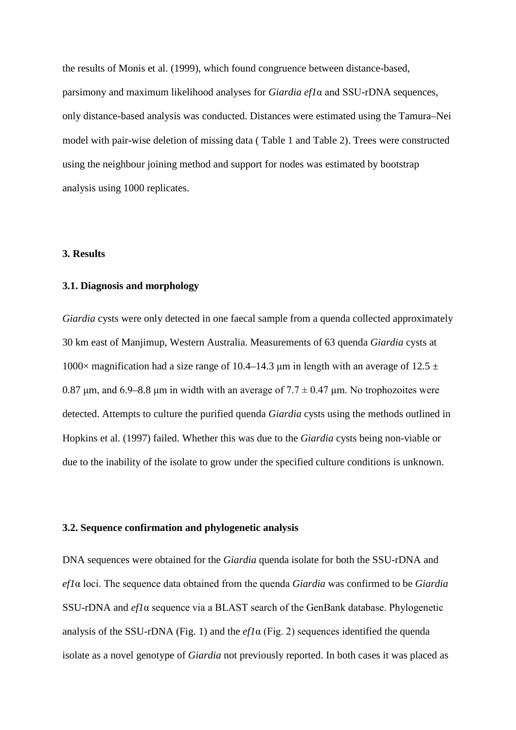the results of Monis et al. (1999), which found congruence between distance-based, parsimony and maximum likelihood analyses for *Giardia ef1*α and SSU-rDNA sequences, only distance-based analysis was conducted. Distances were estimated using the Tamura–Nei model with pair-wise deletion of missing data ( Table 1 and Table 2). Trees were constructed using the neighbour joining method and support for nodes was estimated by bootstrap analysis using 1000 replicates.

#### **3. Results**

## **3.1. Diagnosis and morphology**

*Giardia* cysts were only detected in one faecal sample from a quenda collected approximately 30 km east of Manjimup, Western Australia. Measurements of 63 quenda *Giardia* cysts at 1000× magnification had a size range of 10.4–14.3 μm in length with an average of 12.5  $\pm$ 0.87 μm, and 6.9–8.8 μm in width with an average of  $7.7 \pm 0.47$  μm. No trophozoites were detected. Attempts to culture the purified quenda *Giardia* cysts using the methods outlined in Hopkins et al. (1997) failed. Whether this was due to the *Giardia* cysts being non-viable or due to the inability of the isolate to grow under the specified culture conditions is unknown.

## **3.2. Sequence confirmation and phylogenetic analysis**

DNA sequences were obtained for the *Giardia* quenda isolate for both the SSU-rDNA and *ef1*α loci. The sequence data obtained from the quenda *Giardia* was confirmed to be *Giardia* SSU-rDNA and *ef1*α sequence via a BLAST search of the GenBank database. Phylogenetic analysis of the SSU-rDNA (Fig. 1) and the *ef1*α (Fig. 2) sequences identified the quenda isolate as a novel genotype of *Giardia* not previously reported. In both cases it was placed as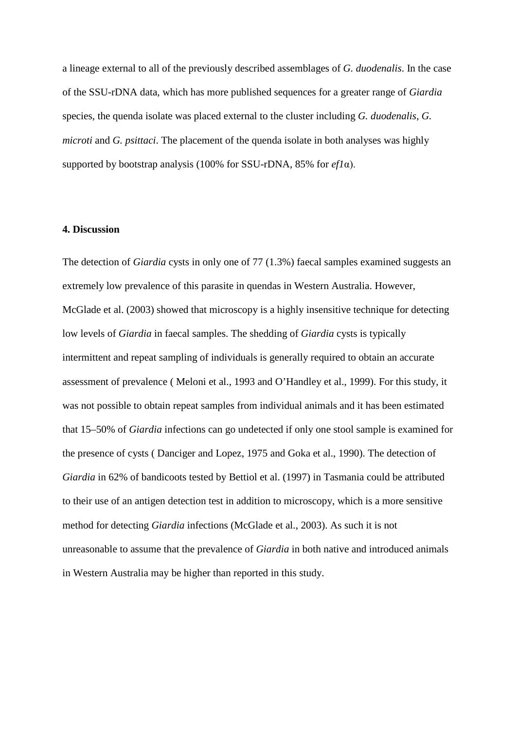a lineage external to all of the previously described assemblages of *G. duodenalis*. In the case of the SSU-rDNA data, which has more published sequences for a greater range of *Giardia* species, the quenda isolate was placed external to the cluster including *G. duodenalis*, *G. microti* and *G. psittaci*. The placement of the quenda isolate in both analyses was highly supported by bootstrap analysis (100% for SSU-rDNA, 85% for *ef1*α).

## **4. Discussion**

The detection of *Giardia* cysts in only one of 77 (1.3%) faecal samples examined suggests an extremely low prevalence of this parasite in quendas in Western Australia. However, McGlade et al. (2003) showed that microscopy is a highly insensitive technique for detecting low levels of *Giardia* in faecal samples. The shedding of *Giardia* cysts is typically intermittent and repeat sampling of individuals is generally required to obtain an accurate assessment of prevalence ( Meloni et al., 1993 and O'Handley et al., 1999). For this study, it was not possible to obtain repeat samples from individual animals and it has been estimated that 15–50% of *Giardia* infections can go undetected if only one stool sample is examined for the presence of cysts ( Danciger and Lopez, 1975 and Goka et al., 1990). The detection of *Giardia* in 62% of bandicoots tested by Bettiol et al. (1997) in Tasmania could be attributed to their use of an antigen detection test in addition to microscopy, which is a more sensitive method for detecting *Giardia* infections (McGlade et al., 2003). As such it is not unreasonable to assume that the prevalence of *Giardia* in both native and introduced animals in Western Australia may be higher than reported in this study.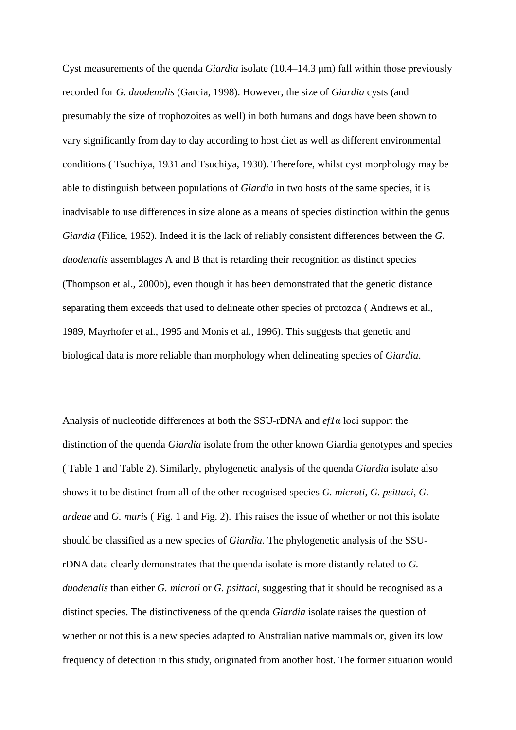Cyst measurements of the quenda *Giardia* isolate (10.4–14.3 μm) fall within those previously recorded for *G. duodenalis* (Garcia, 1998). However, the size of *Giardia* cysts (and presumably the size of trophozoites as well) in both humans and dogs have been shown to vary significantly from day to day according to host diet as well as different environmental conditions ( Tsuchiya, 1931 and Tsuchiya, 1930). Therefore, whilst cyst morphology may be able to distinguish between populations of *Giardia* in two hosts of the same species, it is inadvisable to use differences in size alone as a means of species distinction within the genus *Giardia* (Filice, 1952). Indeed it is the lack of reliably consistent differences between the *G. duodenalis* assemblages A and B that is retarding their recognition as distinct species (Thompson et al., 2000b), even though it has been demonstrated that the genetic distance separating them exceeds that used to delineate other species of protozoa ( Andrews et al., 1989, Mayrhofer et al., 1995 and Monis et al., 1996). This suggests that genetic and biological data is more reliable than morphology when delineating species of *Giardia*.

Analysis of nucleotide differences at both the SSU-rDNA and *ef1*α loci support the distinction of the quenda *Giardia* isolate from the other known Giardia genotypes and species ( Table 1 and Table 2). Similarly, phylogenetic analysis of the quenda *Giardia* isolate also shows it to be distinct from all of the other recognised species *G. microti*, *G. psittaci*, *G. ardeae* and *G. muris* ( Fig. 1 and Fig. 2). This raises the issue of whether or not this isolate should be classified as a new species of *Giardia*. The phylogenetic analysis of the SSUrDNA data clearly demonstrates that the quenda isolate is more distantly related to *G. duodenalis* than either *G. microti* or *G. psittaci*, suggesting that it should be recognised as a distinct species. The distinctiveness of the quenda *Giardia* isolate raises the question of whether or not this is a new species adapted to Australian native mammals or, given its low frequency of detection in this study, originated from another host. The former situation would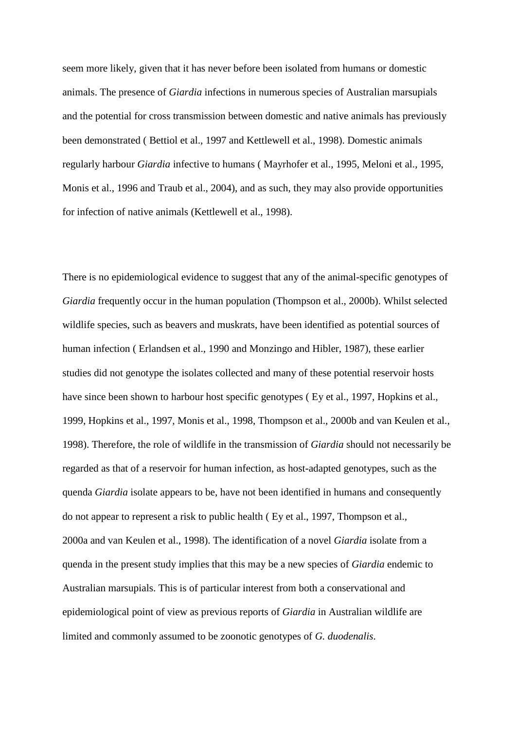seem more likely, given that it has never before been isolated from humans or domestic animals. The presence of *Giardia* infections in numerous species of Australian marsupials and the potential for cross transmission between domestic and native animals has previously been demonstrated ( Bettiol et al., 1997 and Kettlewell et al., 1998). Domestic animals regularly harbour *Giardia* infective to humans ( Mayrhofer et al., 1995, Meloni et al., 1995, Monis et al., 1996 and Traub et al., 2004), and as such, they may also provide opportunities for infection of native animals (Kettlewell et al., 1998).

There is no epidemiological evidence to suggest that any of the animal-specific genotypes of *Giardia* frequently occur in the human population (Thompson et al., 2000b). Whilst selected wildlife species, such as beavers and muskrats, have been identified as potential sources of human infection ( Erlandsen et al., 1990 and Monzingo and Hibler, 1987), these earlier studies did not genotype the isolates collected and many of these potential reservoir hosts have since been shown to harbour host specific genotypes (Ey et al., 1997, Hopkins et al., 1999, Hopkins et al., 1997, Monis et al., 1998, Thompson et al., 2000b and van Keulen et al., 1998). Therefore, the role of wildlife in the transmission of *Giardia* should not necessarily be regarded as that of a reservoir for human infection, as host-adapted genotypes, such as the quenda *Giardia* isolate appears to be, have not been identified in humans and consequently do not appear to represent a risk to public health ( Ey et al., 1997, Thompson et al., 2000a and van Keulen et al., 1998). The identification of a novel *Giardia* isolate from a quenda in the present study implies that this may be a new species of *Giardia* endemic to Australian marsupials. This is of particular interest from both a conservational and epidemiological point of view as previous reports of *Giardia* in Australian wildlife are limited and commonly assumed to be zoonotic genotypes of *G. duodenalis*.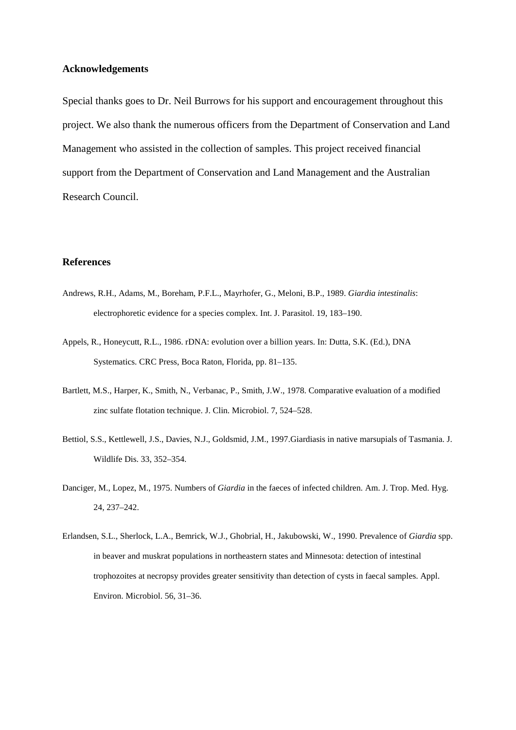## **Acknowledgements**

Special thanks goes to Dr. Neil Burrows for his support and encouragement throughout this project. We also thank the numerous officers from the Department of Conservation and Land Management who assisted in the collection of samples. This project received financial support from the Department of Conservation and Land Management and the Australian Research Council.

## **References**

- Andrews, R.H., Adams, M., Boreham, P.F.L., Mayrhofer, G., Meloni, B.P., 1989. *Giardia intestinalis*: electrophoretic evidence for a species complex. Int. J. Parasitol. 19, 183–190.
- Appels, R., Honeycutt, R.L., 1986. rDNA: evolution over a billion years. In: Dutta, S.K. (Ed.), DNA Systematics. CRC Press, Boca Raton, Florida, pp. 81–135.
- Bartlett, M.S., Harper, K., Smith, N., Verbanac, P., Smith, J.W., 1978. Comparative evaluation of a modified zinc sulfate flotation technique. J. Clin. Microbiol. 7, 524–528.
- Bettiol, S.S., Kettlewell, J.S., Davies, N.J., Goldsmid, J.M., 1997.Giardiasis in native marsupials of Tasmania. J. Wildlife Dis. 33, 352–354.
- Danciger, M., Lopez, M., 1975. Numbers of *Giardia* in the faeces of infected children. Am. J. Trop. Med. Hyg. 24, 237–242.
- Erlandsen, S.L., Sherlock, L.A., Bemrick, W.J., Ghobrial, H., Jakubowski, W., 1990. Prevalence of *Giardia* spp. in beaver and muskrat populations in northeastern states and Minnesota: detection of intestinal trophozoites at necropsy provides greater sensitivity than detection of cysts in faecal samples. Appl. Environ. Microbiol. 56, 31–36.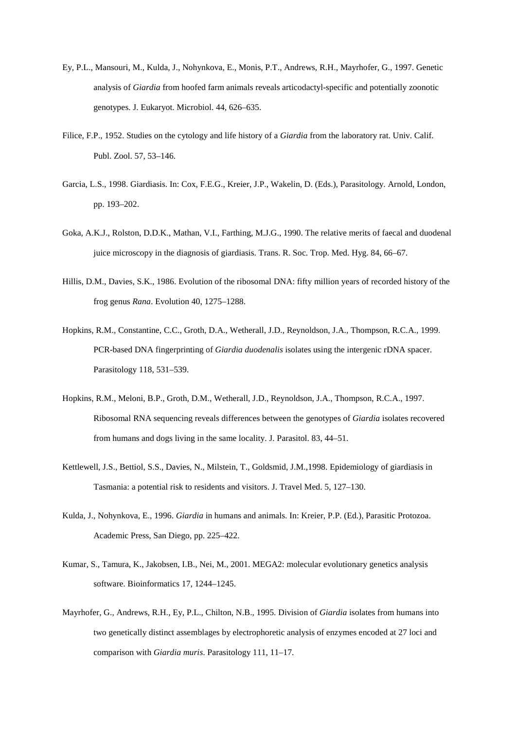- Ey, P.L., Mansouri, M., Kulda, J., Nohynkova, E., Monis, P.T., Andrews, R.H., Mayrhofer, G., 1997. Genetic analysis of *Giardia* from hoofed farm animals reveals articodactyl-specific and potentially zoonotic genotypes. J. Eukaryot. Microbiol. 44, 626–635.
- Filice, F.P., 1952. Studies on the cytology and life history of a *Giardia* from the laboratory rat. Univ. Calif. Publ. Zool. 57, 53–146.
- Garcia, L.S., 1998. Giardiasis. In: Cox, F.E.G., Kreier, J.P., Wakelin, D. (Eds.), Parasitology. Arnold, London, pp. 193–202.
- Goka, A.K.J., Rolston, D.D.K., Mathan, V.I., Farthing, M.J.G., 1990. The relative merits of faecal and duodenal juice microscopy in the diagnosis of giardiasis. Trans. R. Soc. Trop. Med. Hyg. 84, 66–67.
- Hillis, D.M., Davies, S.K., 1986. Evolution of the ribosomal DNA: fifty million years of recorded history of the frog genus *Rana*. Evolution 40, 1275–1288.
- Hopkins, R.M., Constantine, C.C., Groth, D.A., Wetherall, J.D., Reynoldson, J.A., Thompson, R.C.A., 1999. PCR-based DNA fingerprinting of *Giardia duodenalis* isolates using the intergenic rDNA spacer. Parasitology 118, 531–539.
- Hopkins, R.M., Meloni, B.P., Groth, D.M., Wetherall, J.D., Reynoldson, J.A., Thompson, R.C.A., 1997. Ribosomal RNA sequencing reveals differences between the genotypes of *Giardia* isolates recovered from humans and dogs living in the same locality. J. Parasitol. 83, 44–51.
- Kettlewell, J.S., Bettiol, S.S., Davies, N., Milstein, T., Goldsmid, J.M.,1998. Epidemiology of giardiasis in Tasmania: a potential risk to residents and visitors. J. Travel Med. 5, 127–130.
- Kulda, J., Nohynkova, E., 1996. *Giardia* in humans and animals. In: Kreier, P.P. (Ed.), Parasitic Protozoa. Academic Press, San Diego, pp. 225–422.
- Kumar, S., Tamura, K., Jakobsen, I.B., Nei, M., 2001. MEGA2: molecular evolutionary genetics analysis software. Bioinformatics 17, 1244–1245.
- Mayrhofer, G., Andrews, R.H., Ey, P.L., Chilton, N.B., 1995. Division of *Giardia* isolates from humans into two genetically distinct assemblages by electrophoretic analysis of enzymes encoded at 27 loci and comparison with *Giardia muris*. Parasitology 111, 11–17.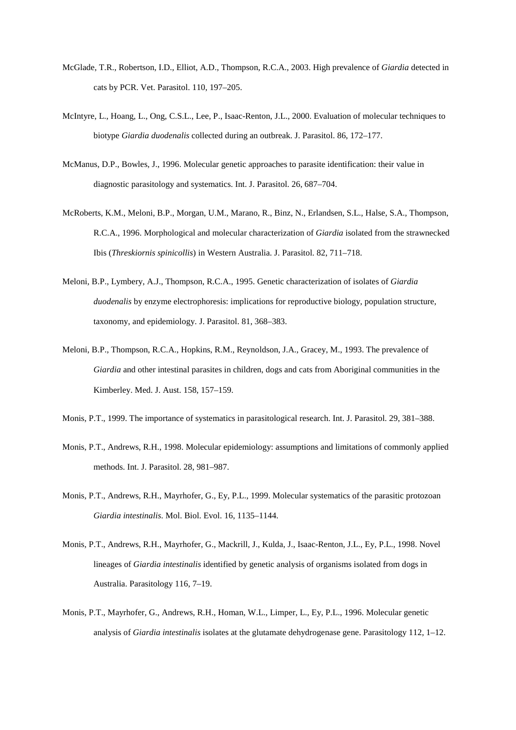- McGlade, T.R., Robertson, I.D., Elliot, A.D., Thompson, R.C.A., 2003. High prevalence of *Giardia* detected in cats by PCR. Vet. Parasitol. 110, 197–205.
- McIntyre, L., Hoang, L., Ong, C.S.L., Lee, P., Isaac-Renton, J.L., 2000. Evaluation of molecular techniques to biotype *Giardia duodenalis* collected during an outbreak. J. Parasitol. 86, 172–177.
- McManus, D.P., Bowles, J., 1996. Molecular genetic approaches to parasite identification: their value in diagnostic parasitology and systematics. Int. J. Parasitol. 26, 687–704.
- McRoberts, K.M., Meloni, B.P., Morgan, U.M., Marano, R., Binz, N., Erlandsen, S.L., Halse, S.A., Thompson, R.C.A., 1996. Morphological and molecular characterization of *Giardia* isolated from the strawnecked Ibis (*Threskiornis spinicollis*) in Western Australia. J. Parasitol. 82, 711–718.
- Meloni, B.P., Lymbery, A.J., Thompson, R.C.A., 1995. Genetic characterization of isolates of *Giardia duodenalis* by enzyme electrophoresis: implications for reproductive biology, population structure, taxonomy, and epidemiology. J. Parasitol. 81, 368–383.
- Meloni, B.P., Thompson, R.C.A., Hopkins, R.M., Reynoldson, J.A., Gracey, M., 1993. The prevalence of *Giardia* and other intestinal parasites in children, dogs and cats from Aboriginal communities in the Kimberley. Med. J. Aust. 158, 157–159.
- Monis, P.T., 1999. The importance of systematics in parasitological research. Int. J. Parasitol. 29, 381–388.
- Monis, P.T., Andrews, R.H., 1998. Molecular epidemiology: assumptions and limitations of commonly applied methods. Int. J. Parasitol. 28, 981–987.
- Monis, P.T., Andrews, R.H., Mayrhofer, G., Ey, P.L., 1999. Molecular systematics of the parasitic protozoan *Giardia intestinalis*. Mol. Biol. Evol. 16, 1135–1144.
- Monis, P.T., Andrews, R.H., Mayrhofer, G., Mackrill, J., Kulda, J., Isaac-Renton, J.L., Ey, P.L., 1998. Novel lineages of *Giardia intestinalis* identified by genetic analysis of organisms isolated from dogs in Australia. Parasitology 116, 7–19.
- Monis, P.T., Mayrhofer, G., Andrews, R.H., Homan, W.L., Limper, L., Ey, P.L., 1996. Molecular genetic analysis of *Giardia intestinalis* isolates at the glutamate dehydrogenase gene. Parasitology 112, 1–12.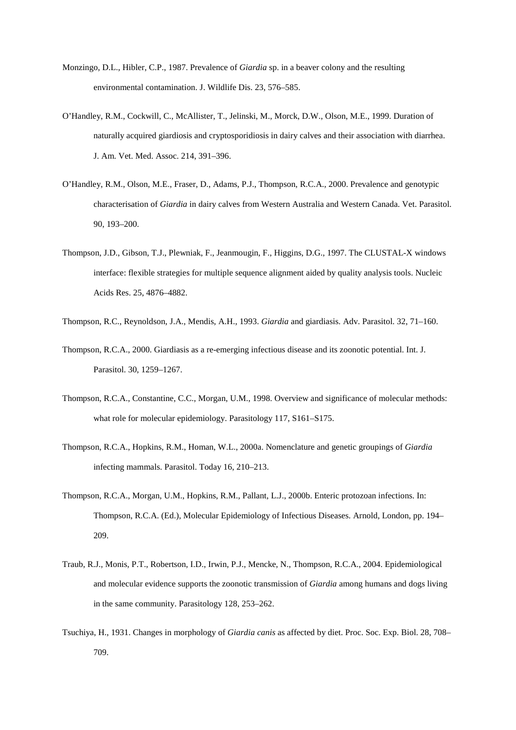- Monzingo, D.L., Hibler, C.P., 1987. Prevalence of *Giardia* sp. in a beaver colony and the resulting environmental contamination. J. Wildlife Dis. 23, 576–585.
- O'Handley, R.M., Cockwill, C., McAllister, T., Jelinski, M., Morck, D.W., Olson, M.E., 1999. Duration of naturally acquired giardiosis and cryptosporidiosis in dairy calves and their association with diarrhea. J. Am. Vet. Med. Assoc. 214, 391–396.
- O'Handley, R.M., Olson, M.E., Fraser, D., Adams, P.J., Thompson, R.C.A., 2000. Prevalence and genotypic characterisation of *Giardia* in dairy calves from Western Australia and Western Canada. Vet. Parasitol. 90, 193–200.
- Thompson, J.D., Gibson, T.J., Plewniak, F., Jeanmougin, F., Higgins, D.G., 1997. The CLUSTAL-X windows interface: flexible strategies for multiple sequence alignment aided by quality analysis tools. Nucleic Acids Res. 25, 4876–4882.

Thompson, R.C., Reynoldson, J.A., Mendis, A.H., 1993. *Giardia* and giardiasis. Adv. Parasitol. 32, 71–160.

- Thompson, R.C.A., 2000. Giardiasis as a re-emerging infectious disease and its zoonotic potential. Int. J. Parasitol. 30, 1259–1267.
- Thompson, R.C.A., Constantine, C.C., Morgan, U.M., 1998. Overview and significance of molecular methods: what role for molecular epidemiology. Parasitology 117, S161–S175.
- Thompson, R.C.A., Hopkins, R.M., Homan, W.L., 2000a. Nomenclature and genetic groupings of *Giardia*  infecting mammals. Parasitol. Today 16, 210–213.
- Thompson, R.C.A., Morgan, U.M., Hopkins, R.M., Pallant, L.J., 2000b. Enteric protozoan infections. In: Thompson, R.C.A. (Ed.), Molecular Epidemiology of Infectious Diseases. Arnold, London, pp. 194– 209.
- Traub, R.J., Monis, P.T., Robertson, I.D., Irwin, P.J., Mencke, N., Thompson, R.C.A., 2004. Epidemiological and molecular evidence supports the zoonotic transmission of *Giardia* among humans and dogs living in the same community. Parasitology 128, 253–262.
- Tsuchiya, H., 1931. Changes in morphology of *Giardia canis* as affected by diet. Proc. Soc. Exp. Biol. 28, 708– 709.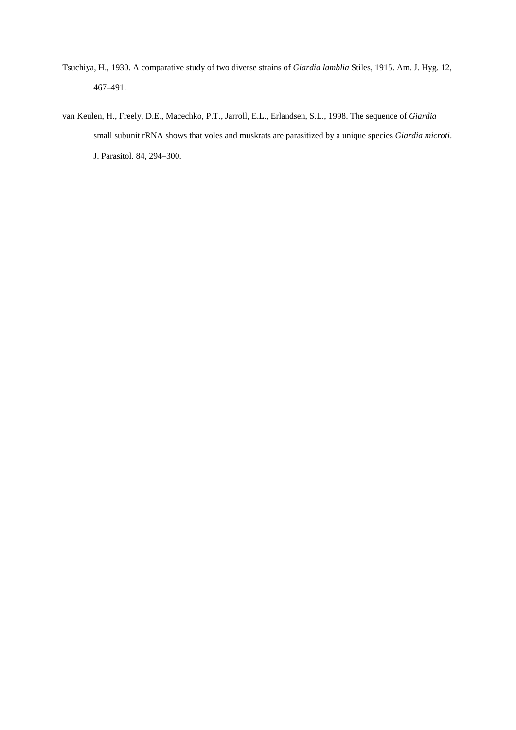- Tsuchiya, H., 1930. A comparative study of two diverse strains of *Giardia lamblia* Stiles, 1915. Am. J. Hyg. 12, 467–491.
- van Keulen, H., Freely, D.E., Macechko, P.T., Jarroll, E.L., Erlandsen, S.L., 1998. The sequence of *Giardia*  small subunit rRNA shows that voles and muskrats are parasitized by a unique species *Giardia microti*. J. Parasitol. 84, 294–300.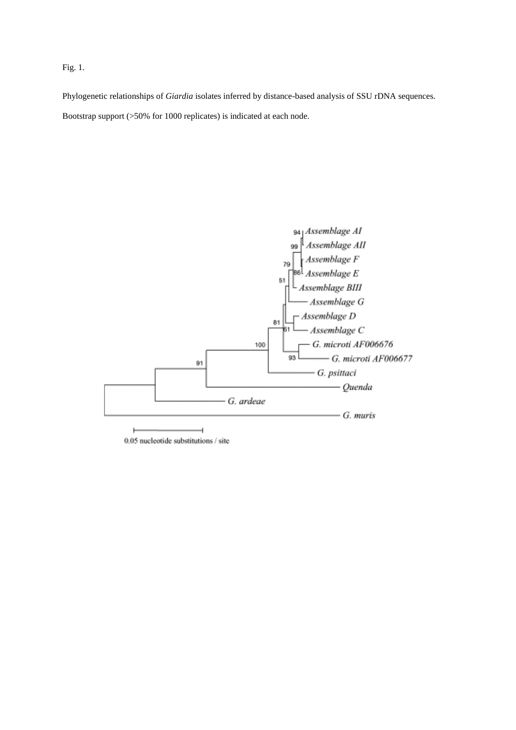## Fig. 1.

Phylogenetic relationships of *Giardia* isolates inferred by distance-based analysis of SSU rDNA sequences. Bootstrap support (>50% for 1000 replicates) is indicated at each node.



0.05 nucleotide substitutions / site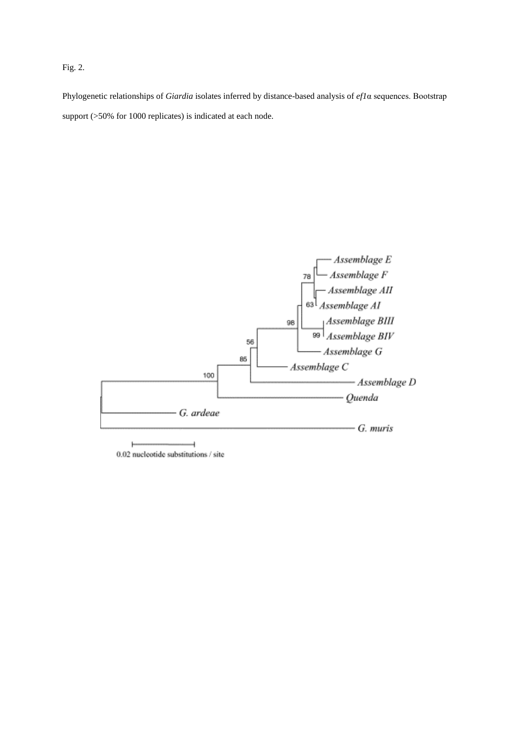## Fig. 2.

Phylogenetic relationships of *Giardia* isolates inferred by distance-based analysis of *ef1*α sequences. Bootstrap support (>50% for 1000 replicates) is indicated at each node.



ŀ 0.02 nucleotide substitutions / site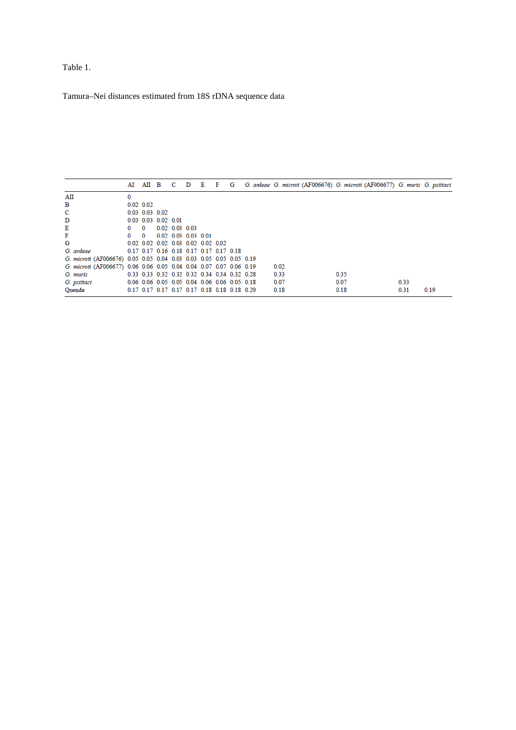Table 1.

Tamura–Nei distances estimated from 18S rDNA sequence data

|                                                                    |               |                  |                             |                                              |  |  |  | AI AII B C D E F G G. ardeae G. microti (AF006676) G. microti (AF006677) G. muris G. psittaci |      |  |      |      |
|--------------------------------------------------------------------|---------------|------------------|-----------------------------|----------------------------------------------|--|--|--|-----------------------------------------------------------------------------------------------|------|--|------|------|
| AII                                                                | 0             |                  |                             |                                              |  |  |  |                                                                                               |      |  |      |      |
| в                                                                  | $0.02 \ 0.02$ |                  |                             |                                              |  |  |  |                                                                                               |      |  |      |      |
| c                                                                  |               | $0.03$ 0.03 0.02 |                             |                                              |  |  |  |                                                                                               |      |  |      |      |
| D                                                                  |               |                  | $0.03$ $0.03$ $0.02$ $0.01$ |                                              |  |  |  |                                                                                               |      |  |      |      |
| Е                                                                  | 0             | $\Omega$         |                             | $0.02$ $0.03$ $0.03$                         |  |  |  |                                                                                               |      |  |      |      |
| F                                                                  |               | $\Omega$         |                             | 0.02 0.03 0.03 0.01                          |  |  |  |                                                                                               |      |  |      |      |
| G                                                                  |               |                  |                             | 0.02 0.02 0.02 0.03 0.02 0.02 0.02           |  |  |  |                                                                                               |      |  |      |      |
| G. ardeae                                                          |               |                  |                             | 0.17 0.17 0.16 0.18 0.17 0.17 0.17 0.18      |  |  |  |                                                                                               |      |  |      |      |
| G. microti (AF006676) 0.05 0.05 0.04 0.03 0.03 0.05 0.05 0.05 0.19 |               |                  |                             |                                              |  |  |  |                                                                                               |      |  |      |      |
| G. microti (AF006677) 0.06 0.06 0.05 0.04 0.04 0.07 0.07 0.06 0.19 |               |                  |                             |                                              |  |  |  | 0.02                                                                                          |      |  |      |      |
| G. muris                                                           |               |                  |                             | 0.33 0.33 0.32 0.32 0.32 0.34 0.34 0.32 0.28 |  |  |  | 0.33                                                                                          | 0.35 |  |      |      |
| G. psittaci                                                        |               |                  |                             | 0.06 0.06 0.05 0.05 0.04 0.06 0.06 0.05 0.18 |  |  |  | 0.07                                                                                          | 0.07 |  | 0.33 |      |
| Ouenda                                                             |               |                  |                             | 0.17 0.17 0.17 0.17 0.17 0.18 0.18 0.18 0.29 |  |  |  | 0.18                                                                                          | 0.18 |  | 0.31 | 0.19 |